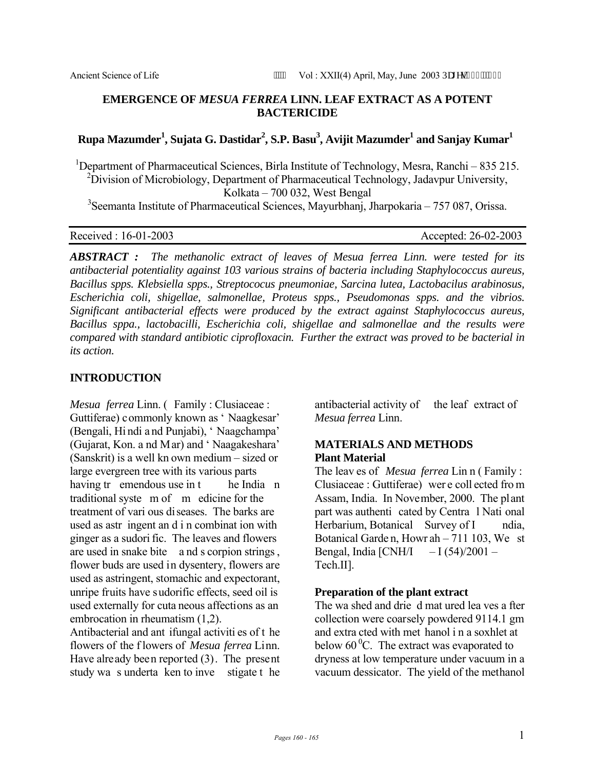## **EMERGENCE OF** *MESUA FERREA* **LINN. LEAF EXTRACT AS A POTENT BACTERICIDE**

# $\bold{R}$ upa Mazumder<sup>1</sup>, Sujata G. Dastidar<sup>2</sup>, S.P. Basu<sup>3</sup>, Avijit Mazumder<sup>1</sup> and Sanjay Kumar<sup>1</sup>

<sup>1</sup>Department of Pharmaceutical Sciences, Birla Institute of Technology, Mesra, Ranchi – 835 215. <sup>2</sup> Division of Microbiology, Department of Pharmaceutical Technology, Jadavpur University, Kolkata – 700 032, West Bengal

<sup>3</sup>Seemanta Institute of Pharmaceutical Sciences, Mayurbhanj, Jharpokaria – 757 087, Orissa.

Received : 16-01-2003 Accepted: 26-02-2003

*ABSTRACT : The methanolic extract of leaves of Mesua ferrea Linn. were tested for its antibacterial potentiality against 103 various strains of bacteria including Staphylococcus aureus, Bacillus spps. Klebsiella spps., Streptococus pneumoniae, Sarcina lutea, Lactobacilus arabinosus, Escherichia coli, shigellae, salmonellae, Proteus spps., Pseudomonas spps. and the vibrios. Significant antibacterial effects were produced by the extract against Staphylococcus aureus, Bacillus sppa., lactobacilli, Escherichia coli, shigellae and salmonellae and the results were compared with standard antibiotic ciprofloxacin. Further the extract was proved to be bacterial in its action.* 

#### **INTRODUCTION**

*Mesua ferrea* Linn. ( Family : Clusiaceae : Guttiferae) commonly known as ' Naagkesar' (Bengali, Hi ndi a nd Punjabi), ' Naagchampa' (Gujarat, Kon. a nd Mar) and ' Naagakeshara' (Sanskrit) is a well kn own medium – sized or large evergreen tree with its various parts having tr emendous use in t he India n traditional syste m of m edicine for the treatment of vari ous diseases. The barks are used as astr ingent an d i n combinat ion with ginger as a sudori fic. The leaves and flowers are used in snake bite a nd s corpion strings , flower buds are used in dysentery, flowers are used as astringent, stomachic and expectorant, unripe fruits have sudorific effects, seed oil is used externally for cuta neous affections as an embrocation in rheumatism (1,2).

Antibacterial and ant ifungal activiti es of t he flowers of the f lowers of *Mesua ferrea* Linn. Have already been reported (3). The present study wa s underta ken to inve stigate t he

antibacterial activity of the leaf extract of *Mesua ferrea* Linn.

#### **MATERIALS AND METHODS Plant Material**

The leav es of *Mesua ferrea* Lin n ( Family : Clusiaceae : Guttiferae) wer e coll ected fro m Assam, India. In November, 2000. The plant part was authenti cated by Centra l Nati onal Herbarium, Botanical Survey of I ndia, Botanical Garde n, Howr ah – 711 103, We st Bengal, India  $\text{[CNH/I} \quad -\text{I} \ (54)/2001 -$ Tech.II].

#### **Preparation of the plant extract**

The wa shed and drie d mat ured lea ves a fter collection were coarsely powdered 9114.1 gm and extra cted with met hanol i n a soxhlet at below  $60^{\circ}$ C. The extract was evaporated to dryness at low temperature under vacuum in a vacuum dessicator. The yield of the methanol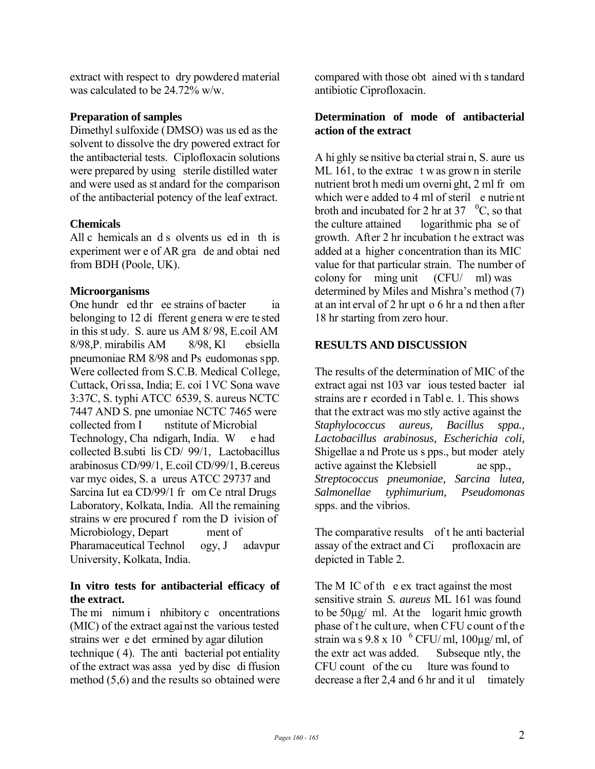extract with respect to dry powdered material was calculated to be 24.72% w/w.

## **Preparation of samples**

Dimethyl sulfoxide (DMSO) was us ed as the solvent to dissolve the dry powered extract for the antibacterial tests. Ciplofloxacin solutions were prepared by using sterile distilled water and were used as st andard for the comparison of the antibacterial potency of the leaf extract.

## **Chemicals**

All c hemicals an d s olvents us ed in th is experiment wer e of AR gra de and obtai ned from BDH (Poole, UK).

## **Microorganisms**

One hundr ed thr ee strains of bacter ia belonging to 12 di fferent g enera w ere te sted in this st udy. S. aure us AM 8/ 98, E.coil AM 8/98,P. mirabilis AM 8/98, Kl ebsiella pneumoniae RM 8/98 and Ps eudomonas spp. Were collected from S.C.B. Medical College, Cuttack, Orissa, India; E. coi l VC Sona wave 3:37C, S. typhi ATCC 6539, S. aureus NCTC 7447 AND S. pne umoniae NCTC 7465 were collected from I nstitute of Microbial Technology, Cha ndigarh, India. W e had collected B.subti lis CD/ 99/1, Lactobacillus arabinosus CD/99/1, E.coil CD/99/1, B.cereus var myc oides, S. a ureus ATCC 29737 and Sarcina Iut ea CD/99/1 fr om Ce ntral Drugs Laboratory, Kolkata, India. All the remaining strains w ere procured f rom the D ivision of Microbiology, Depart ment of Pharamaceutical Technol ogy, J adavpur University, Kolkata, India.

## **In vitro tests for antibacterial efficacy of the extract.**

The mi nimum i nhibitory c oncentrations (MIC) of the extract against the various tested strains wer e det ermined by agar dilution technique ( 4). The anti bacterial pot entiality of the extract was assa yed by disc di ffusion method (5,6) and the results so obtained were

compared with those obt ained wi th s tandard antibiotic Ciprofloxacin.

## **Determination of mode of antibacterial action of the extract**

A hi ghly se nsitive ba cterial strai n, S. aure us ML 161, to the extrac t w as grown in sterile nutrient brot h medi um overni ght, 2 ml fr om which were added to 4 ml of steril e nutrient broth and incubated for 2 hr at 37  $\,^0C$ , so that the culture attained logarithmic pha se of growth. After 2 hr incubation t he extract was added at a higher concentration than its MIC value for that particular strain. The number of colony for ming unit (CFU/ ml) was determined by Miles and Mishra's method (7) at an int erval of 2 hr upt o 6 hr a nd then after 18 hr starting from zero hour.

# **RESULTS AND DISCUSSION**

The results of the determination of MIC of the extract agai nst 103 var ious tested bacter ial strains are r ecorded in Tabl e. 1. This shows that the extract was mo stly active against the *Staphylococcus aureus, Bacillus sppa., Lactobacillus arabinosus, Escherichia coli,*  Shigellae a nd Prote us s pps., but moder ately active against the Klebsiell ae spp., *Streptococcus pneumoniae, Sarcina lutea, Salmonellae typhimurium, Pseudomonas*  spps. and the vibrios.

The comparative results of t he anti bacterial assay of the extract and Ci profloxacin are depicted in Table 2.

The M IC of the extract against the most sensitive strain *S. aureus* ML 161 was found to be 50µg/ ml. At the logarit hmic growth phase of t he culture, when CFU count of the strain wa s  $9.8 \times 10^{-6}$  CFU/ ml,  $100 \mu g$ / ml, of the extr act was added. Subseque ntly, the CFU count of the cu lture was found to decrease a fter 2,4 and 6 hr and it ul timately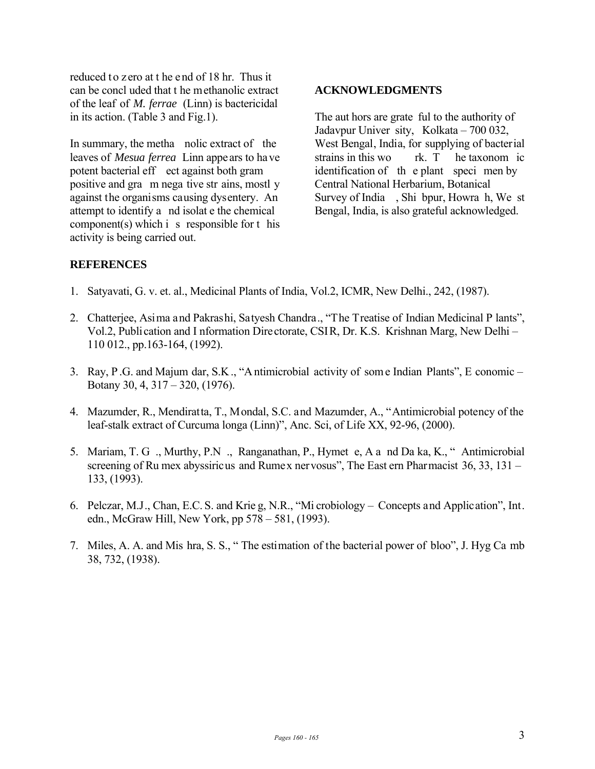reduced to zero at t he end of 18 hr. Thus it can be concl uded that t he methanolic extract of the leaf of *M. ferrae* (Linn) is bactericidal in its action. (Table 3 and Fig.1).

In summary, the metha nolic extract of the leaves of *Mesua ferrea* Linn appears to have potent bacterial eff ect against both gram positive and gra m nega tive str ains, mostl y against the organisms causing dysentery. An attempt to identify a nd isolat e the chemical component(s) which i s responsible for t his activity is being carried out.

#### **ACKNOWLEDGMENTS**

The aut hors are grate ful to the authority of Jadavpur Univer sity, Kolkata – 700 032, West Bengal, India, for supplying of bacterial strains in this wo rk. T he taxonom ic identification of th e plant speci men by Central National Herbarium, Botanical Survey of India , Shi bpur, Howra h, We st Bengal, India, is also grateful acknowledged.

## **REFERENCES**

- 1. Satyavati, G. v. et. al., Medicinal Plants of India, Vol.2, ICMR, New Delhi., 242, (1987).
- 2. Chatterjee, Asima and Pakrashi, Satyesh Chandra., "The Treatise of Indian Medicinal P lants", Vol.2, Publication and I nformation Directorate, CSIR, Dr. K.S. Krishnan Marg, New Delhi – 110 012., pp.163-164, (1992).
- 3. Ray, P .G. and Majum dar, S.K ., "A ntimicrobial activity of som e Indian Plants", E conomic Botany 30, 4, 317 – 320, (1976).
- 4. Mazumder, R., Mendiratta, T., Mondal, S.C. and Mazumder, A., "Antimicrobial potency of the leaf-stalk extract of Curcuma longa (Linn)", Anc. Sci, of Life XX, 92-96, (2000).
- 5. Mariam, T. G ., Murthy, P.N ., Ranganathan, P., Hymet e, A a nd Da ka, K., " Antimicrobial screening of Ru mex abyssiricus and Rumex nervosus", The East ern Pharmacist 36, 33, 131 – 133, (1993).
- 6. Pelczar, M.J., Chan, E.C. S. and Krie g, N.R., "Mi crobiology Concepts and Application", Int. edn., McGraw Hill, New York, pp 578 – 581, (1993).
- 7. Miles, A. A. and Mis hra, S. S., " The estimation of the bacterial power of bloo", J. Hyg Ca mb 38, 732, (1938).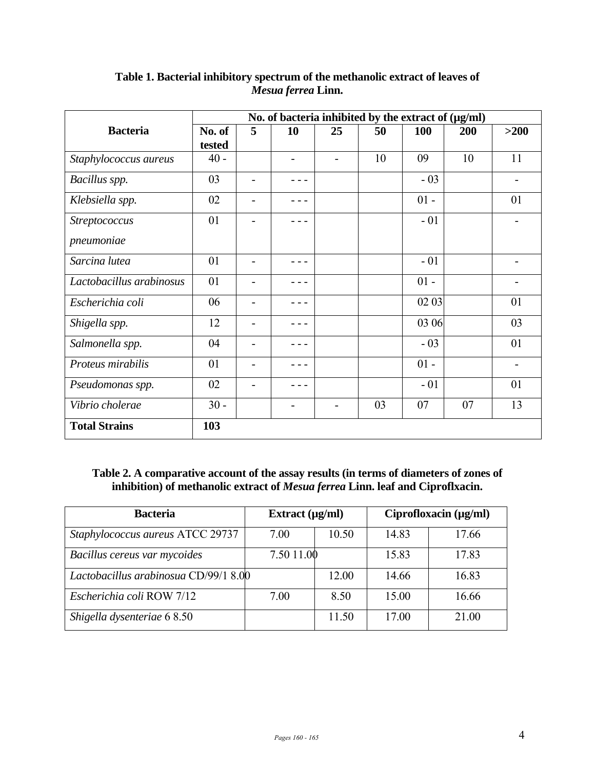|                          | No. of bacteria inhibited by the extract of $(\mu g/ml)$ |                |    |                |    |            |     |        |  |
|--------------------------|----------------------------------------------------------|----------------|----|----------------|----|------------|-----|--------|--|
| <b>Bacteria</b>          | No. of                                                   | 5              | 10 | 25             | 50 | <b>100</b> | 200 | $>200$ |  |
|                          | tested                                                   |                |    |                |    |            |     |        |  |
| Staphylococcus aureus    | $40 -$                                                   |                | -  | $\blacksquare$ | 10 | 09         | 10  | 11     |  |
| Bacillus spp.            | 03                                                       |                |    |                |    | $-03$      |     |        |  |
| Klebsiella spp.          | 02                                                       | $\blacksquare$ |    |                |    | $01 -$     |     | 01     |  |
| Streptococcus            | 01                                                       |                |    |                |    | $-01$      |     |        |  |
| pneumoniae               |                                                          |                |    |                |    |            |     |        |  |
| Sarcina lutea            | 01                                                       |                |    |                |    | $-01$      |     |        |  |
| Lactobacillus arabinosus | 01                                                       |                |    |                |    | $01 -$     |     |        |  |
| Escherichia coli         | 06                                                       |                |    |                |    | 02 03      |     | 01     |  |
| Shigella spp.            | 12                                                       | $\blacksquare$ |    |                |    | 03 06      |     | 03     |  |
| Salmonella spp.          | 04                                                       |                |    |                |    | $-03$      |     | 01     |  |
| Proteus mirabilis        | 01                                                       |                |    |                |    | $01 -$     |     |        |  |
| Pseudomonas spp.         | 02                                                       | $\blacksquare$ |    |                |    | $-01$      |     | 01     |  |
| Vibrio cholerae          | $30 -$                                                   |                |    |                | 03 | 07         | 07  | 13     |  |
| <b>Total Strains</b>     | 103                                                      |                |    |                |    |            |     |        |  |

# **Table 1. Bacterial inhibitory spectrum of the methanolic extract of leaves of**  *Mesua ferrea* **Linn.**

# **Table 2. A comparative account of the assay results (in terms of diameters of zones of inhibition) of methanolic extract of** *Mesua ferrea* **Linn. leaf and Ciproflxacin.**

| <b>Bacteria</b>                       | Extract $(\mu\alpha/m)$ |       | Ciprofloxacin $(\mu g/ml)$ |       |  |
|---------------------------------------|-------------------------|-------|----------------------------|-------|--|
| Staphylococcus aureus ATCC 29737      | 7.00                    | 10.50 | 14.83                      | 17.66 |  |
| Bacillus cereus var mycoides          | 7.50 11.00              |       | 15.83                      | 17.83 |  |
| Lactobacillus arabinosua CD/99/1 8.00 |                         | 12.00 | 14.66                      | 16.83 |  |
| Escherichia coli ROW 7/12             | 7.00                    | 8.50  | 15.00                      | 16.66 |  |
| Shigella dysenteriae 68.50            |                         | 11.50 | 17.00                      | 21.00 |  |